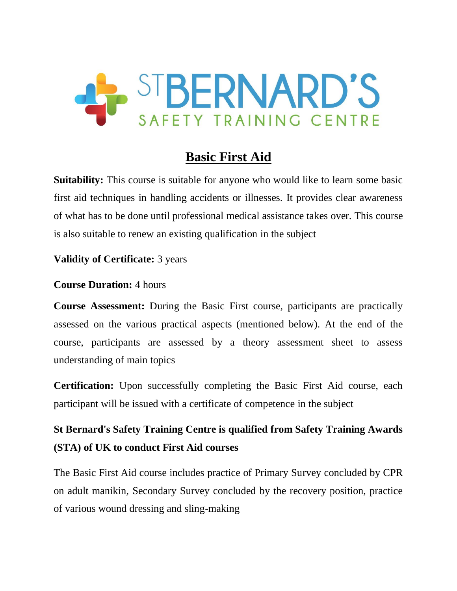

# **Basic First Aid**

**Suitability:** This course is suitable for anyone who would like to learn some basic first aid techniques in handling accidents or illnesses. It provides clear awareness of what has to be done until professional medical assistance takes over. This course is also suitable to renew an existing qualification in the subject

#### **Validity of Certificate:** 3 years

#### **Course Duration:** 4 hours

**Course Assessment:** During the Basic First course, participants are practically assessed on the various practical aspects (mentioned below). At the end of the course, participants are assessed by a theory assessment sheet to assess understanding of main topics

**Certification:** Upon successfully completing the Basic First Aid course, each participant will be issued with a certificate of competence in the subject

# **St Bernard's Safety Training Centre is qualified from Safety Training Awards (STA) of UK to conduct First Aid courses**

The Basic First Aid course includes practice of Primary Survey concluded by CPR on adult manikin, Secondary Survey concluded by the recovery position, practice of various wound dressing and sling-making